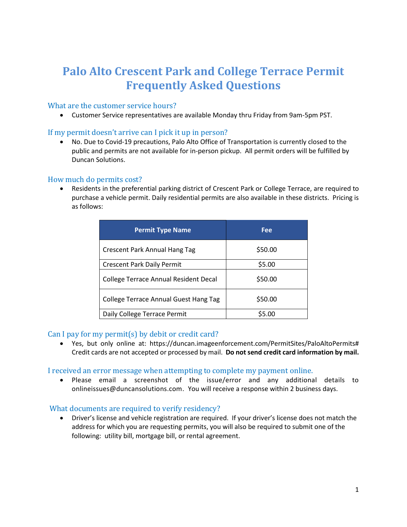# **Palo Alto Crescent Park and College Terrace Permit Frequently Asked Questions**

# What are the customer service hours?

• Customer Service representatives are available Monday thru Friday from 9am-5pm PST.

## If my permit doesn't arrive can I pick it up in person?

• No. Due to Covid-19 precautions, Palo Alto Office of Transportation is currently closed to the public and permits are not available for in-person pickup. All permit orders will be fulfilled by Duncan Solutions.

# How much do permits cost?

• Residents in the preferential parking district of Crescent Park or College Terrace, are required to purchase a vehicle permit. Daily residential permits are also available in these districts. Pricing is as follows:

| <b>Permit Type Name</b>                      | Fee     |
|----------------------------------------------|---------|
| <b>Crescent Park Annual Hang Tag</b>         | \$50.00 |
| <b>Crescent Park Daily Permit</b>            | \$5.00  |
| <b>College Terrace Annual Resident Decal</b> | \$50.00 |
| <b>College Terrace Annual Guest Hang Tag</b> | \$50.00 |
| Daily College Terrace Permit                 | \$5.00  |

# Can I pay for my permit(s) by debit or credit card?

• Yes, but only online at: https://duncan.imageenforcement.com/PermitSites/PaloAltoPermits# Credit cards are not accepted or processed by mail. **Do not send credit card information by mail.**

## I received an error message when attempting to complete my payment online.

• Please email a screenshot of the issue/error and any additional details to onlineissues@duncansolutions.com. You will receive a response within 2 business days.

## What documents are required to verify residency?

• Driver's license and vehicle registration are required. If your driver's license does not match the address for which you are requesting permits, you will also be required to submit one of the following: utility bill, mortgage bill, or rental agreement.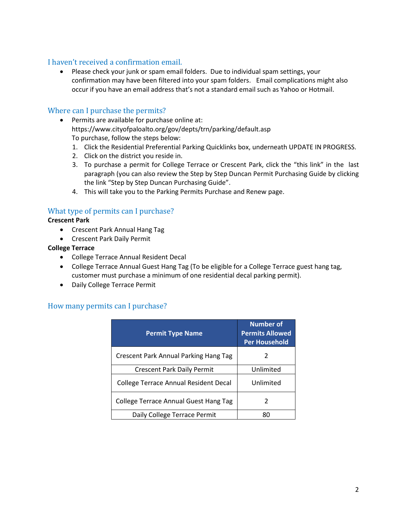# I haven't received a confirmation email.

• Please check your junk or spam email folders. Due to individual spam settings, your confirmation may have been filtered into your spam folders. Email complications might also occur if you have an email address that's not a standard email such as Yahoo or Hotmail.

### Where can I purchase the permits?

- Permits are available for purchase online at: https://www.cityofpaloalto.org/gov/depts/trn/parking/default.asp To purchase, follow the steps below:
	- 1. Click the Residential Preferential Parking Quicklinks box, underneath UPDATE IN PROGRESS.
	- 2. Click on the district you reside in.
	- 3. To purchase a permit for College Terrace or Crescent Park, click the "this link" in the last paragraph (you can also review the Step by Step Duncan Permit Purchasing Guide by clicking the link "Step by Step Duncan Purchasing Guide".
	- 4. This will take you to the Parking Permits Purchase and Renew page.

# What type of permits can I purchase?

#### **Crescent Park**

- Crescent Park Annual Hang Tag
- Crescent Park Daily Permit

#### **College Terrace**

- College Terrace Annual Resident Decal
- College Terrace Annual Guest Hang Tag (To be eligible for a College Terrace guest hang tag, customer must purchase a minimum of one residential decal parking permit).
- Daily College Terrace Permit

## How many permits can I purchase?

| <b>Permit Type Name</b>                      | <b>Number of</b><br><b>Permits Allowed</b><br><b>Per Household</b> |
|----------------------------------------------|--------------------------------------------------------------------|
| <b>Crescent Park Annual Parking Hang Tag</b> | 2                                                                  |
| <b>Crescent Park Daily Permit</b>            | Unlimited                                                          |
| <b>College Terrace Annual Resident Decal</b> | Unlimited                                                          |
| College Terrace Annual Guest Hang Tag        | 2                                                                  |
| Daily College Terrace Permit                 | 80                                                                 |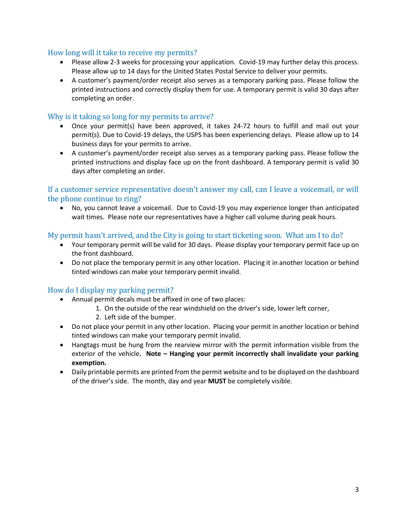## How long will it take to receive my permits?

- Please allow 2-3 weeks for processing your application. Covid-19 may further delay this process. Please allow up to 14 days for the United States Postal Service to deliver your permits.
- A customer's payment/order receipt also serves as a temporary parking pass. Please follow the printed instructions and correctly display them for use. A temporary permit is valid 30 days after completing an order.

# Why is it taking so long for my permits to arrive?

- Once your permit(s) have been approved, it takes 24-72 hours to fulfill and mail out your permit(s). Due to Covid-19 delays, the USPS has been experiencing delays. Please allow up to 14 business days for your permits to arrive.
- A customer's payment/order receipt also serves as a temporary parking pass. Please follow the printed instructions and display face up on the front dashboard. A temporary permit is valid 30 days after completing an order.

If a customer service representative doesn't answer my call, can I leave a voicemail, or will the phone continue to ring?

• No, you cannot leave a voicemail. Due to Covid-19 you may experience longer than anticipated wait times. Please note our representatives have a higher call volume during peak hours.

# My permit hasn't arrived, and the City is going to start ticketing soon. What am I to do?

- Your temporary permit will be valid for 30 days. Please display your temporary permit face up on the front dashboard.
- Do not place the temporary permit in any other location. Placing it in another location or behind tinted windows can make your temporary permit invalid.

# How do I display my parking permit?

- Annual permit decals must be affixed in one of two places:
	- 1. On the outside of the rear windshield on the driver's side, lower left corner,
	- 2. Left side of the bumper.
- Do not place your permit in any other location. Placing your permit in another location or behind tinted windows can make your temporary permit invalid.
- Hangtags must be hung from the rearview mirror with the permit information visible from the exterior of the vehicle**. Note – Hanging your permit incorrectly shall invalidate your parking exemption.**
- Daily printable permits are printed from the permit website and to be displayed on the dashboard of the driver's side. The month, day and year **MUST** be completely visible.